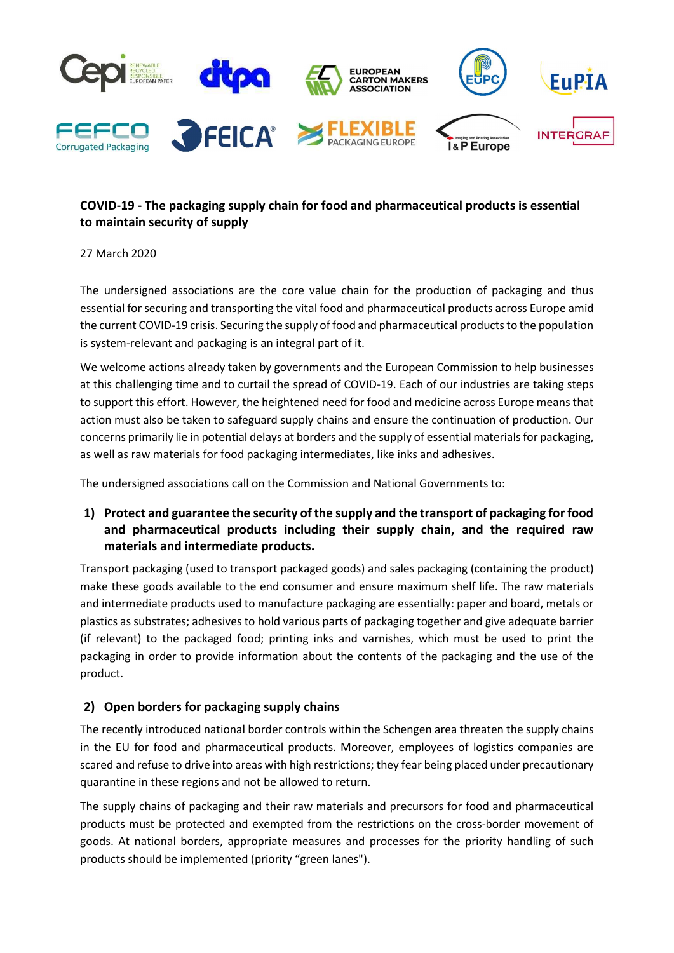

# COVID-19 - The packaging supply chain for food and pharmaceutical products is essential to maintain security of supply

#### 27 March 2020

The undersigned associations are the core value chain for the production of packaging and thus essential for securing and transporting the vital food and pharmaceutical products across Europe amid the current COVID-19 crisis. Securing the supply of food and pharmaceutical products to the population is system-relevant and packaging is an integral part of it.

We welcome actions already taken by governments and the European Commission to help businesses at this challenging time and to curtail the spread of COVID-19. Each of our industries are taking steps to support this effort. However, the heightened need for food and medicine across Europe means that action must also be taken to safeguard supply chains and ensure the continuation of production. Our concerns primarily lie in potential delays at borders and the supply of essential materials for packaging, as well as raw materials for food packaging intermediates, like inks and adhesives.

The undersigned associations call on the Commission and National Governments to:

# 1) Protect and guarantee the security of the supply and the transport of packaging for food and pharmaceutical products including their supply chain, and the required raw materials and intermediate products.

Transport packaging (used to transport packaged goods) and sales packaging (containing the product) make these goods available to the end consumer and ensure maximum shelf life. The raw materials and intermediate products used to manufacture packaging are essentially: paper and board, metals or plastics as substrates; adhesives to hold various parts of packaging together and give adequate barrier (if relevant) to the packaged food; printing inks and varnishes, which must be used to print the packaging in order to provide information about the contents of the packaging and the use of the product.

### 2) Open borders for packaging supply chains

The recently introduced national border controls within the Schengen area threaten the supply chains in the EU for food and pharmaceutical products. Moreover, employees of logistics companies are scared and refuse to drive into areas with high restrictions; they fear being placed under precautionary quarantine in these regions and not be allowed to return.

The supply chains of packaging and their raw materials and precursors for food and pharmaceutical products must be protected and exempted from the restrictions on the cross-border movement of goods. At national borders, appropriate measures and processes for the priority handling of such products should be implemented (priority "green lanes").